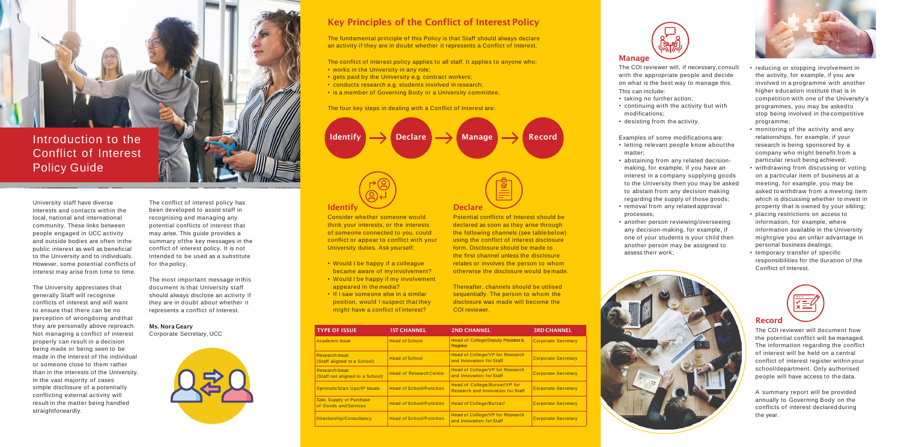

Conflict of Interest Policy Guide

University staff have diverse interests and contacts within the local, national and international community. These links between people engaged in UCC activity and outside bodies are often in the public interest as well as beneficial to the University and to individuals. However, some potential conflicts of interest may arise from time to time.

The University appreciates that generally Staff will recognise conflicts of interest and will want to ensure that there can be no perception of wrongdoing and that they are personally above reproach. Not managing a conflict of interest properly can result in a decision being made or being seen to be made in the interest of the individual or someone close to them rather than in the interests of the University. In the vast majority of cases simple disclosure of a potentially conflicting external activity will result in the matter being handled straightforwardly.

The conflict of interest policy has been developed to assist staff in recognising and managing any potential conflicts of interest that may arise. This guide provides a summary of the key messages in the conflict of interest policy. It is not intended to be used as a substitute for the policy.

The most important message in this document is that University staff should always disclose an activity if they are in doubt about whether it represents a conflict of Interest.

**Ms. Nora Geary** Corporate Secretary, UCC



# **Identify**

- letting relevant people know about the matter;
- abstaining from any related decisionmaking, for example, if you have an interest in a company supplying goods to the University then you may be asked to abstain from any decision making regarding the supply of those goods;
- removal from any related approval processes;
- another person reviewing/overseeing any decision-making, for example, if one of your students is your child then another person may be assigned to assess their work;



Consider whether someone would think your interests, or the interests of someone connected to you, could conflict or appear to conflict with your University duties. Ask yourself:

- Would I be happy if a colleague became aware of my involvement?
- Would I be happy if my involvement appeared in the media?
- If I saw someone else in a similar position, would I suspect that they might have a conflict of interest?

## **Declare**

Potential conflicts of Interest should be declared as soon as they arise through the following channels (see table below) using the conflict of interest disclosure form. Disclosure should be made to the first channel unless the disclosure relates or involves the person to whom otherwise the disclosure would be made.

- works in the University in any role:
- gets paid by the University e.g. contract workers;
- conducts research e.g. students involved in research;
- is a member of Governing Body or a University committee.

Thereafter, channels should be utilised sequentially. The person to whom the disclosure was made will become the COI reviewer.

# **Manage**

The COI reviewer will, if necessary, consult with the appropriate people and decide on what is the best way to manage this. This can include:

- taking no further action;
- continuing with the activity but with modifications;
- desisting from the activity.

Examples of some modifications are:

- reducing or stopping involvement in the activity, for example, if you are involved in a programme with another higher education institute that is in competition with one of the University's programmes, you may be askedto stop being involved in the competitive programme;
- monitoring of the activity and any relationships, for example, if your research is being sponsored by a company who might benefit from a particular result being achieved;
- withdrawing from discussing or voting on a particular item of business at a meeting, for example, you may be asked to withdraw from a meeting item which is discussing whether to invest in property that is owned by your sibling;
- placing restrictions on access to information, for example, where information available in the University might give you an unfair advantage in personal business dealings;
- temporary transfer of specific responsibilities for the duration of the Conflict of Interest.



# **Key Principles of the Conflict of Interest Policy**

The fundamental principle of this Policy is that Staff should always declare an activity if they are in doubt whether it represents a Conflict of Interest.

The conflict of interest policy applies to all staff. It applies to anyone who:





| <b>TYPE OF ISSUE</b>                                      | <b>IST CHANNEL</b>             | <b>2ND CHANNEL</b>                                                        | <b>3RD CHANNEL</b>         |
|-----------------------------------------------------------|--------------------------------|---------------------------------------------------------------------------|----------------------------|
| Academic Issue                                            | <b>Head of School</b>          | Head of College/Deputy President &<br><b>Registrar</b>                    | <b>Corporate Secretary</b> |
| <b>Research Issue:</b><br>(Staff aligned to a School)     | <b>Head of School</b>          | <b>Head of College/VP for Research</b><br>and Innovation for Staff        | <b>Corporate Secretary</b> |
| <b>Research Issue:</b><br>(Staff not aligned to a School) | <b>Head of Research Centre</b> | Head of College/VP for Research<br>and Innovation for Staff               | <b>Corporate Secretary</b> |
| <b>Spinouts/Start Ups/IP Issues:</b>                      | <b>Head of School/Function</b> | Head of College/Bursar/VP for<br><b>Research and Innovation for Staff</b> | <b>Corporate Secretary</b> |
| Sale, Supply or Purchase<br>of Goods and Services         | <b>Head of School/Function</b> | <b>Head of College/Bursar/</b>                                            | <b>Corporate Secretary</b> |
| Directorship/Consultancy                                  | <b>Head of School/Function</b> | <b>Head of College/VP for Research</b><br>and Innovation for Staff        | <b>Corporate Secretary</b> |



The four key steps in dealing with a Conflict of Interest are:

### **Record**

The COI reviewer will document how the potential conflict will be managed. The information regarding the conflict of interest will be held on a central conflict of interest register within your school/department. Only authorised people will have access to the data.

A summary report will be provided annually to Governing Body on the conflicts of interest declared during the year.